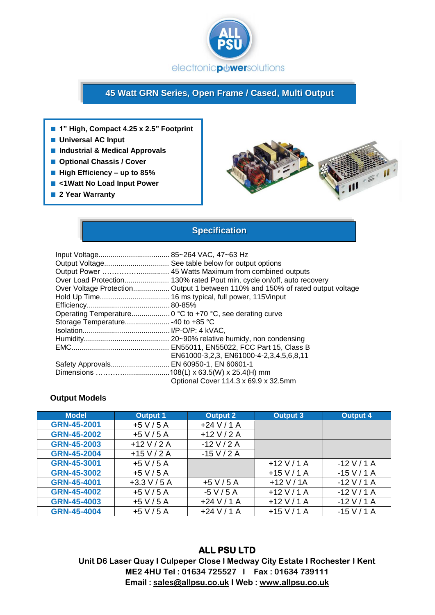

# **45 Watt GRN Series, Open Frame / Cased, Multi Output**

- **1" High, Compact 4.25 x 2.5" Footprint**
- **Universal AC Input**
- **Industrial & Medical Approvals**
- **Optional Chassis / Cover**
- **High Efficiency up to 85%**
- <1Watt **No Load Input Power**
- 2 Year Warranty



## **Specification**

|                                         | Output Voltage See table below for output options<br>Over Load Protection 130% rated Pout min, cycle on/off, auto recovery<br>Over Voltage Protection Output 1 between 110% and 150% of rated output voltage |
|-----------------------------------------|--------------------------------------------------------------------------------------------------------------------------------------------------------------------------------------------------------------|
|                                         |                                                                                                                                                                                                              |
|                                         |                                                                                                                                                                                                              |
|                                         |                                                                                                                                                                                                              |
|                                         |                                                                                                                                                                                                              |
|                                         |                                                                                                                                                                                                              |
|                                         | EN61000-3,2,3, EN61000-4-2,3,4,5,6,8,11                                                                                                                                                                      |
| Safety Approvals EN 60950-1, EN 60601-1 |                                                                                                                                                                                                              |
|                                         |                                                                                                                                                                                                              |
|                                         | Optional Cover 114.3 x 69.9 x 32.5mm                                                                                                                                                                         |

#### **Output Models**

| <b>Model</b>       | <b>Output 1</b> | Output 2      | Output 3      | <b>Output 4</b> |
|--------------------|-----------------|---------------|---------------|-----------------|
| GRN-45-2001        | $+5$ V / 5 A    | $+24$ V / 1 A |               |                 |
| <b>GRN-45-2002</b> | $+5$ V / 5 A    | $+12$ V / 2 A |               |                 |
| <b>GRN-45-2003</b> | $+12$ V / 2 A   | $-12$ V / 2 A |               |                 |
| <b>GRN-45-2004</b> | $+15$ V / 2 A   | $-15 V / 2 A$ |               |                 |
| GRN-45-3001        | $+5$ V / 5 A    |               | $+12$ V / 1 A | $-12$ V / 1 A   |
| <b>GRN-45-3002</b> | $+5$ V / 5 A    |               | $+15$ V / 1 A | $-15$ V / 1 A   |
| GRN-45-4001        | $+3.3$ V / 5 A  | $+5$ V / 5 A  | $+12$ V / 1A  | $-12$ V / 1 A   |
| <b>GRN-45-4002</b> | $+5$ V / 5 A    | $-5$ V / 5 A  | $+12$ V / 1 A | $-12$ V / 1 A   |
| <b>GRN-45-4003</b> | $+5$ V / 5 A    | $+24$ V / 1 A | $+12$ V / 1 A | $-12$ V / 1 A   |
| <b>GRN-45-4004</b> | $+5$ V / 5 A    | $+24$ V / 1 A | $+15$ V / 1 A | $-15$ V / 1 A   |

### **ALL PSU LTD**

**Unit D6 Laser Quay I Culpeper Close I Medway City Estate I Rochester I Kent ME2 4HU Tel : 01634 725527 I Fax : 01634 739111 Email [: sales@allpsu.co.uk](mailto:sales@allpsu.co.uk) I Web : www.allpsu.co.uk**